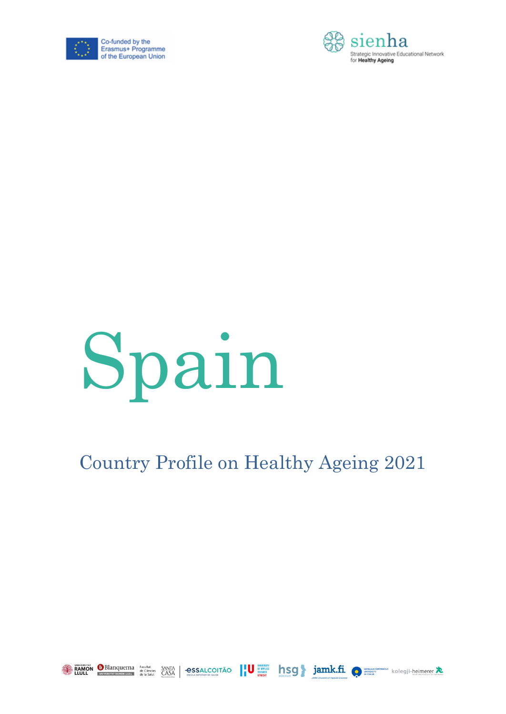





### Country Profile on Healthy Ageing 2021

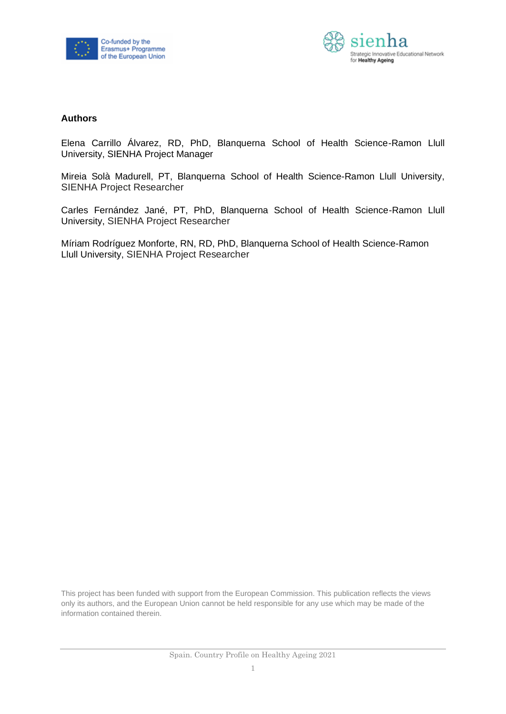



#### **Authors**

Elena Carrillo Álvarez, RD, PhD, Blanquerna School of Health Science-Ramon Llull University, SIENHA Project Manager

Mireia Solà Madurell, PT, Blanquerna School of Health Science-Ramon Llull University, SIENHA Project Researcher

Carles Fernández Jané, PT, PhD, Blanquerna School of Health Science-Ramon Llull University, SIENHA Project Researcher

Míriam Rodríguez Monforte, RN, RD, PhD, Blanquerna School of Health Science-Ramon Llull University, SIENHA Project Researcher

This project has been funded with support from the European Commission. This publication reflects the views only its authors, and the European Union cannot be held responsible for any use which may be made of the information contained therein.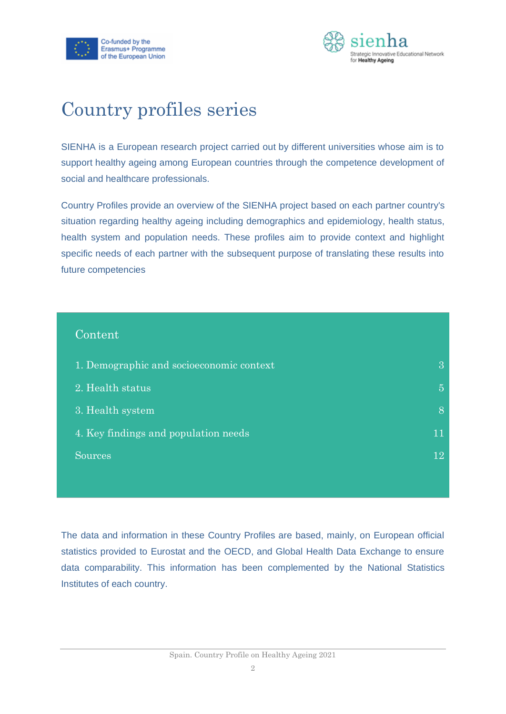



### Country profiles series

SIENHA is a European research project carried out by different universities whose aim is to support healthy ageing among European countries through the competence development of social and healthcare professionals.

Country Profiles provide an overview of the SIENHA project based on each partner country's situation regarding healthy ageing including demographics and epidemiology, health status, health system and population needs. These profiles aim to provide context and highlight specific needs of each partner with the subsequent purpose of translating these results into future competencies

| Content <sup>'</sup>                     |                |
|------------------------------------------|----------------|
| 1. Demographic and socioeconomic context | $\overline{3}$ |
| 2. Health status                         | $\overline{5}$ |
| 3. Health system                         | 8              |
| 4. Key findings and population needs     | 11             |
| <b>Sources</b>                           | 12             |
|                                          |                |

The data and information in these Country Profiles are based, mainly, on European official statistics provided to Eurostat and the OECD, and Global Health Data Exchange to ensure data comparability. This information has been complemented by the National Statistics Institutes of each country.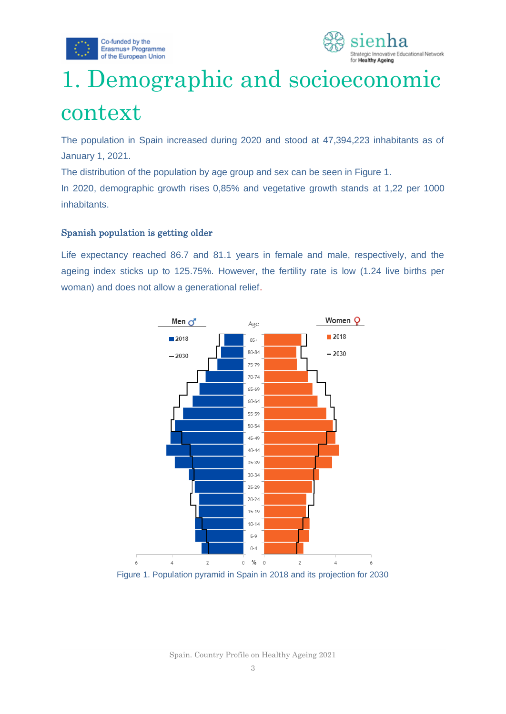



# <span id="page-3-0"></span>1. Demographic and socioeconomic context

The population in Spain increased during 2020 and stood at 47,394,223 inhabitants as of January 1, 2021.

The distribution of the population by age group and sex can be seen in Figure 1.

In 2020, demographic growth rises 0,85% and vegetative growth stands at 1,22 per 1000 inhabitants.

#### Spanish population is getting older

Life expectancy reached 86.7 and 81.1 years in female and male, respectively, and the ageing index sticks up to 125.75%. However, the fertility rate is low (1.24 live births per woman) and does not allow a generational relief.



Figure 1. Population pyramid in Spain in 2018 and its projection for 2030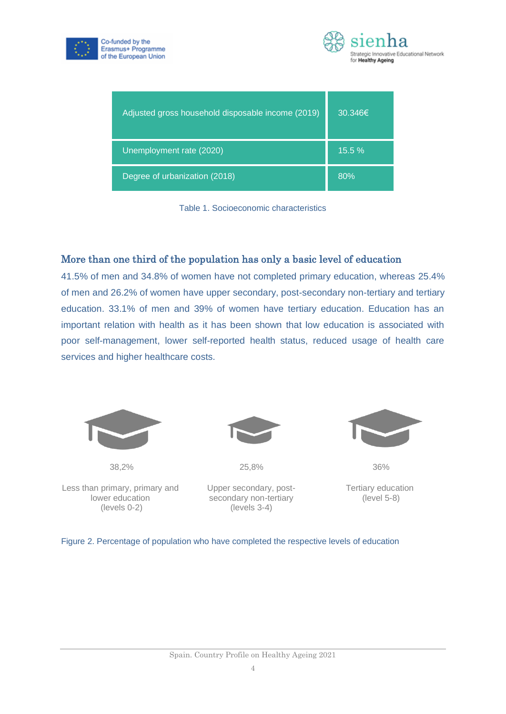



| Adjusted gross household disposable income (2019) | $30.346 \in$ |
|---------------------------------------------------|--------------|
| Unemployment rate (2020)                          | 15.5%        |
| Degree of urbanization (2018)                     | 80%          |

Table 1. Socioeconomic characteristics

#### More than one third of the population has only a basic level of education

41.5% of men and 34.8% of women have not completed primary education, whereas 25.4% of men and 26.2% of women have upper secondary, post-secondary non-tertiary and tertiary education. 33.1% of men and 39% of women have tertiary education. Education has an important relation with health as it has been shown that low education is associated with poor self-management, lower self-reported health status, reduced usage of health care services and higher healthcare costs.



38,2%

Less than primary, primary and lower education (levels 0-2)



25,8%

Upper secondary, postsecondary non-tertiary (levels 3-4)



36%

Tertiary education (level 5-8)

Figure 2. Percentage of population who have completed the respective levels of education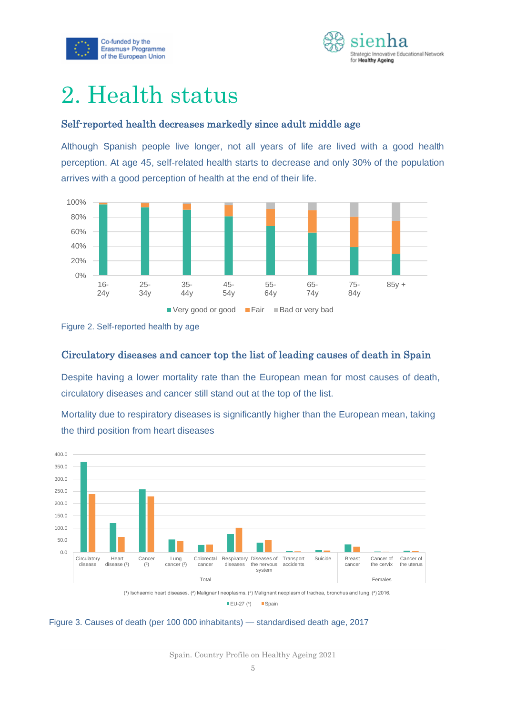



### <span id="page-5-0"></span>2. Health status

#### Self-reported health decreases markedly since adult middle age

Although Spanish people live longer, not all years of life are lived with a good health perception. At age 45, self-related health starts to decrease and only 30% of the population arrives with a good perception of health at the end of their life.





#### Circulatory diseases and cancer top the list of leading causes of death in Spain

Despite having a lower mortality rate than the European mean for most causes of death, circulatory diseases and cancer still stand out at the top of the list.

Mortality due to respiratory diseases is significantly higher than the European mean, taking the third position from heart diseases





Spain. Country Profile on Healthy Ageing 2021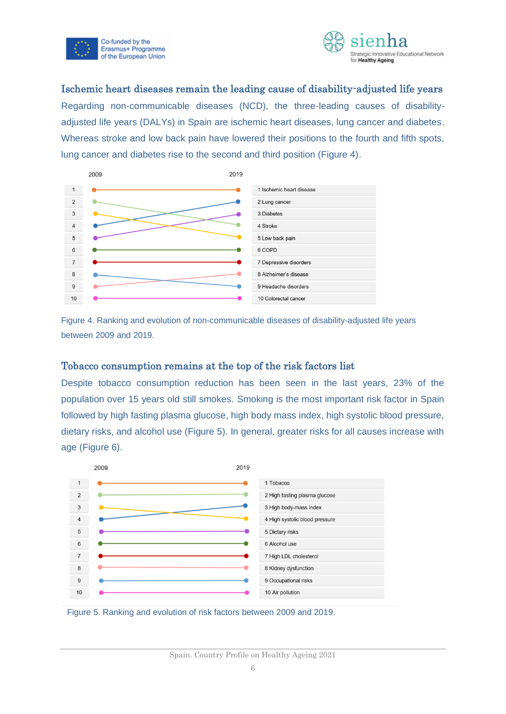



#### Ischemic heart diseases remain the leading cause of disability-adjusted life years

Regarding non-communicable diseases (NCD), the three-leading causes of disabilityadjusted life years (DALYs) in Spain are ischemic heart diseases, lung cancer and diabetes. Whereas stroke and low back pain have lowered their positions to the fourth and fifth spots, lung cancer and diabetes rise to the second and third position (Figure 4).



Figure 4. Ranking and evolution of non-communicable diseases of disability-adjusted life years between 2009 and 2019.

#### Tobacco consumption remains at the top of the risk factors list

Despite tobacco consumption reduction has been seen in the last years, 23% of the population over 15 years old still smokes. Smoking is the most important risk factor in Spain followed by high fasting plasma glucose, high body mass index, high systolic blood pressure, dietary risks, and alcohol use (Figure 5). In general, greater risks for all causes increase with age (Figure 6).



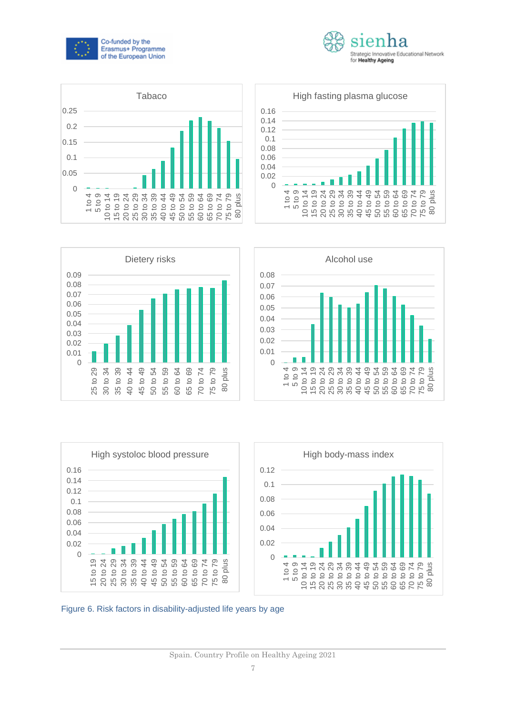













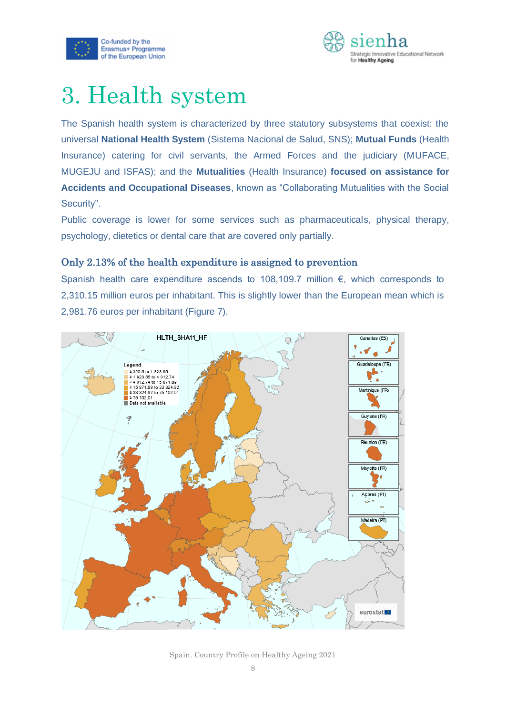



### <span id="page-8-0"></span>3. Health system

The Spanish health system is characterized by three statutory subsystems that coexist: the universal **National Health System** (Sistema Nacional de Salud, SNS); **Mutual Funds** (Health Insurance) catering for civil servants, the Armed Forces and the judiciary (MUFACE, MUGEJU and ISFAS); and the **Mutualities** (Health Insurance) **focused on assistance for Accidents and Occupational Diseases**, known as "Collaborating Mutualities with the Social Security".

Public coverage is lower for some services such as pharmaceuticals, physical therapy, psychology, dietetics or dental care that are covered only partially.

#### Only 2.13% of the health expenditure is assigned to prevention

Spanish health care expenditure ascends to 108,109.7 million €, which corresponds to 2,310.15 million euros per inhabitant. This is slightly lower than the European mean which is 2,981.76 euros per inhabitant (Figure 7).



Spain. Country Profile on Healthy Ageing 2021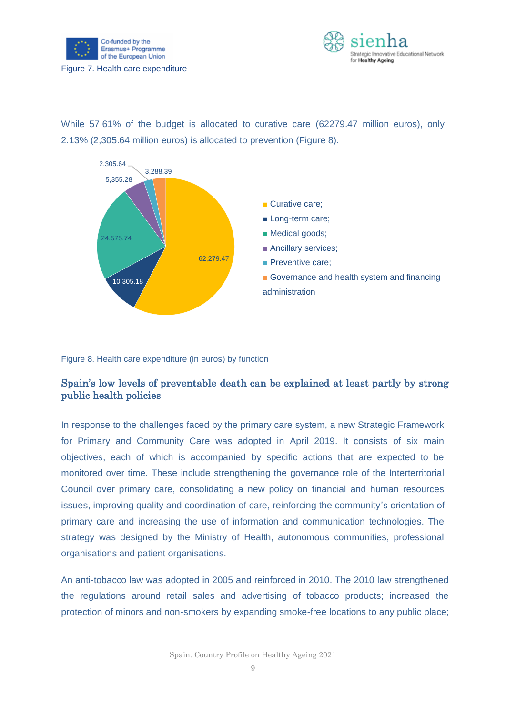



While 57.61% of the budget is allocated to curative care (62279.47 million euros), only 2.13% (2,305.64 million euros) is allocated to prevention (Figure 8).



Figure 8. Health care expenditure (in euros) by function

#### Spain's low levels of preventable death can be explained at least partly by strong public health policies

In response to the challenges faced by the primary care system, a new Strategic Framework for Primary and Community Care was adopted in April 2019. It consists of six main objectives, each of which is accompanied by specific actions that are expected to be monitored over time. These include strengthening the governance role of the Interterritorial Council over primary care, consolidating a new policy on financial and human resources issues, improving quality and coordination of care, reinforcing the community's orientation of primary care and increasing the use of information and communication technologies. The strategy was designed by the Ministry of Health, autonomous communities, professional organisations and patient organisations.

An anti-tobacco law was adopted in 2005 and reinforced in 2010. The 2010 law strengthened the regulations around retail sales and advertising of tobacco products; increased the protection of minors and non-smokers by expanding smoke-free locations to any public place;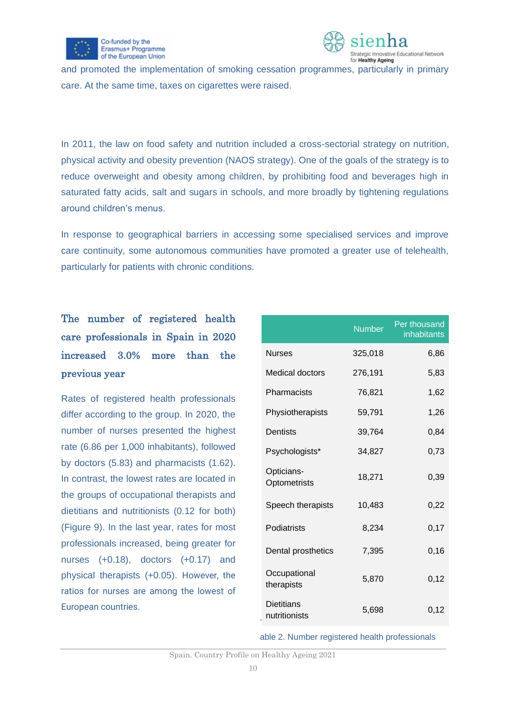



and promoted the implementation of smoking cessation programmes, particularly in primary care. At the same time, taxes on cigarettes were raised.

In 2011, the law on food safety and nutrition included a cross-sectorial strategy on nutrition, physical activity and obesity prevention (NAOS strategy). One of the goals of the strategy is to reduce overweight and obesity among children, by prohibiting food and beverages high in saturated fatty acids, salt and sugars in schools, and more broadly by tightening regulations around children's menus.

In response to geographical barriers in accessing some specialised services and improve care continuity, some autonomous communities have promoted a greater use of telehealth, particularly for patients with chronic conditions.

### The number of registered health care professionals in Spain in 2020 increased 3.0% more than the previous year

Rates of registered health professionals differ according to the group. In 2020, the number of nurses presented the highest rate (6.86 per 1,000 inhabitants), followed by doctors (5.83) and pharmacists (1.62). In contrast, the lowest rates are located in the groups of occupational therapists and dietitians and nutritionists (0.12 for both) (Figure 9). In the last year, rates for most professionals increased, being greater for nurses (+0.18), doctors (+0.17) and physical therapists (+0.05). However, the ratios for nurses are among the lowest of European countries.

|                                    | <b>Number</b> | Per thousand<br>inhabitants |
|------------------------------------|---------------|-----------------------------|
| <b>Nurses</b>                      | 325,018       | 6,86                        |
| Medical doctors                    | 276,191       | 5,83                        |
| Pharmacists                        | 76,821        | 1,62                        |
| Physiotherapists                   | 59,791        | 1,26                        |
| Dentists                           | 39,764        | 0,84                        |
| Psychologists*                     | 34,827        | 0,73                        |
| Opticians-<br>Optometrists         | 18,271        | 0,39                        |
| Speech therapists                  | 10,483        | 0,22                        |
| Podiatrists                        | 8,234         | 0,17                        |
| Dental prosthetics                 | 7,395         | 0, 16                       |
| Occupational<br>therapists         | 5,870         | 0,12                        |
| <b>Dietitians</b><br>nutritionists | 5,698         | 0,12                        |

able 2. Number registered health professionals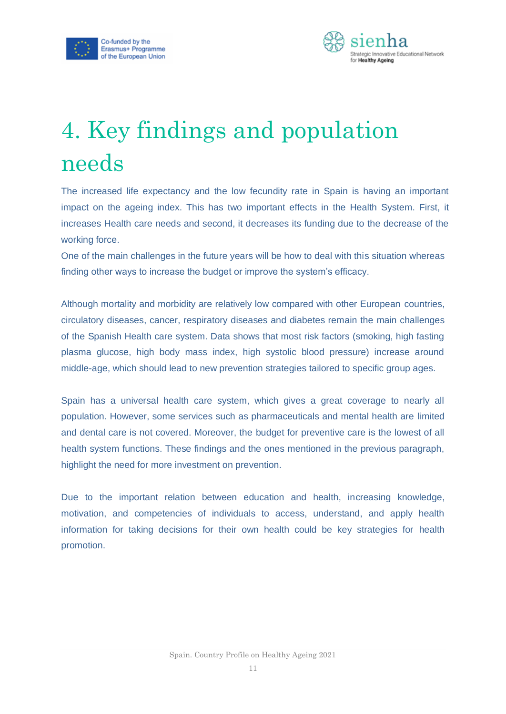



# <span id="page-11-0"></span>4. Key findings and population needs

The increased life expectancy and the low fecundity rate in Spain is having an important impact on the ageing index. This has two important effects in the Health System. First, it increases Health care needs and second, it decreases its funding due to the decrease of the working force.

One of the main challenges in the future years will be how to deal with this situation whereas finding other ways to increase the budget or improve the system's efficacy.

Although mortality and morbidity are relatively low compared with other European countries, circulatory diseases, cancer, respiratory diseases and diabetes remain the main challenges of the Spanish Health care system. Data shows that most risk factors (smoking, high fasting plasma glucose, high body mass index, high systolic blood pressure) increase around middle-age, which should lead to new prevention strategies tailored to specific group ages.

Spain has a universal health care system, which gives a great coverage to nearly all population. However, some services such as pharmaceuticals and mental health are limited and dental care is not covered. Moreover, the budget for preventive care is the lowest of all health system functions. These findings and the ones mentioned in the previous paragraph, highlight the need for more investment on prevention.

Due to the important relation between education and health, increasing knowledge, motivation, and competencies of individuals to access, understand, and apply health information for taking decisions for their own health could be key strategies for health promotion.